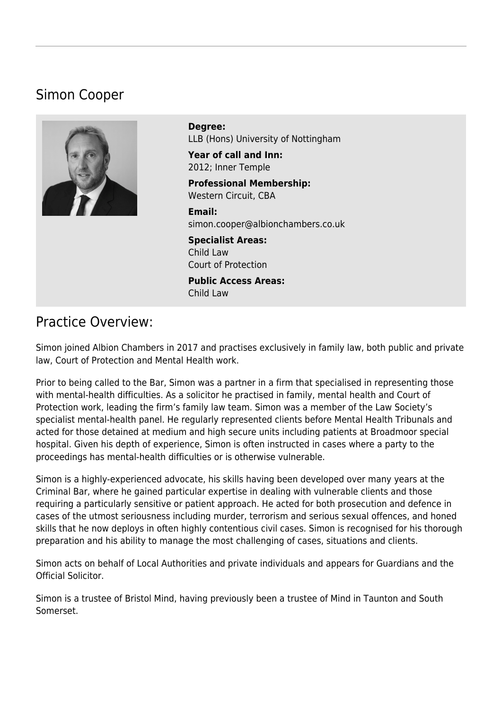# Simon Cooper



**Degree:**  LLB (Hons) University of Nottingham

**Year of call and Inn:**  2012; Inner Temple

**Professional Membership:**  Western Circuit, CBA

**Email:**  [simon.cooper@albionchambers.co.uk](mailto:simon.cooper@albionchambers.co.uk)

**Specialist Areas:**  [Child Law](https://www.albionchambers.co.uk/specialist-areas/child-law) [Court of Protection](https://www.albionchambers.co.uk/specialist-areas/court-of-protection)

**Public Access Areas:**  Child Law

# Practice Overview:

Simon joined Albion Chambers in 2017 and practises exclusively in family law, both public and private law, Court of Protection and Mental Health work.

Prior to being called to the Bar, Simon was a partner in a firm that specialised in representing those with mental-health difficulties. As a solicitor he practised in family, mental health and Court of Protection work, leading the firm's family law team. Simon was a member of the Law Society's specialist mental-health panel. He regularly represented clients before Mental Health Tribunals and acted for those detained at medium and high secure units including patients at Broadmoor special hospital. Given his depth of experience, Simon is often instructed in cases where a party to the proceedings has mental-health difficulties or is otherwise vulnerable.

Simon is a highly-experienced advocate, his skills having been developed over many years at the Criminal Bar, where he gained particular expertise in dealing with vulnerable clients and those requiring a particularly sensitive or patient approach. He acted for both prosecution and defence in cases of the utmost seriousness including murder, terrorism and serious sexual offences, and honed skills that he now deploys in often highly contentious civil cases. Simon is recognised for his thorough preparation and his ability to manage the most challenging of cases, situations and clients.

Simon acts on behalf of Local Authorities and private individuals and appears for Guardians and the Official Solicitor.

Simon is a trustee of Bristol Mind, having previously been a trustee of Mind in Taunton and South Somerset.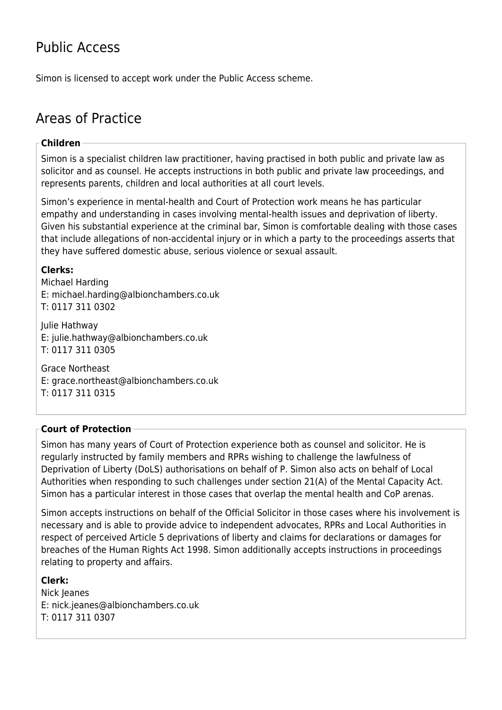# Public Access

Simon is licensed to accept work under the [Public Access](https://www.albionchambers.co.uk/public-access) scheme.

# Areas of Practice

### **Children**

Simon is a specialist children law practitioner, having practised in both public and private law as solicitor and as counsel. He accepts instructions in both public and private law proceedings, and represents parents, children and local authorities at all court levels.

Simon's experience in mental-health and Court of Protection work means he has particular empathy and understanding in cases involving mental-health issues and deprivation of liberty. Given his substantial experience at the criminal bar, Simon is comfortable dealing with those cases that include allegations of non-accidental injury or in which a party to the proceedings asserts that they have suffered domestic abuse, serious violence or sexual assault.

## **Clerks:**

Michael Harding E: [michael.harding@albionchambers.co.uk](mailto:michael.harding@albionchambers.co.uk) T: 0117 311 0302

Julie Hathway E: [julie.hathway@albionchambers.co.uk](mailto:julie.hathway@albionchambers.co.uk) T: 0117 311 0305

Grace Northeast E: [grace.northeast@albionchambers.co.uk](mailto:grace.northeast@albionchambers.co.uk) T: 0117 311 0315

## **Court of Protection**

Simon has many years of Court of Protection experience both as counsel and solicitor. He is regularly instructed by family members and RPRs wishing to challenge the lawfulness of Deprivation of Liberty (DoLS) authorisations on behalf of P. Simon also acts on behalf of Local Authorities when responding to such challenges under section 21(A) of the Mental Capacity Act. Simon has a particular interest in those cases that overlap the mental health and CoP arenas.

Simon accepts instructions on behalf of the Official Solicitor in those cases where his involvement is necessary and is able to provide advice to independent advocates, RPRs and Local Authorities in respect of perceived Article 5 deprivations of liberty and claims for declarations or damages for breaches of the Human Rights Act 1998. Simon additionally accepts instructions in proceedings relating to property and affairs.

## **Clerk:**

Nick Jeanes E: [nick.jeanes@albionchambers.co.uk](mailto:nick.jeanes@albionchambers.co.uk) T: 0117 311 0307